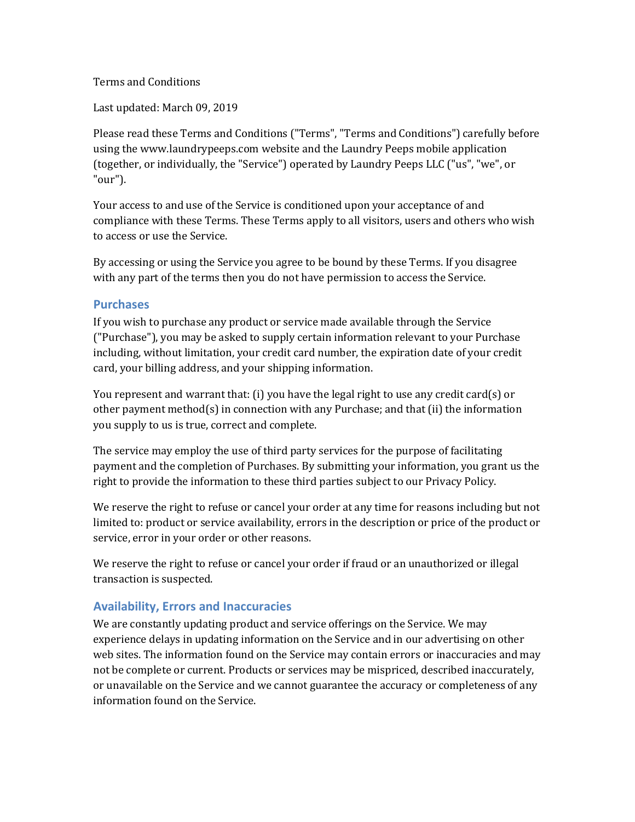#### Terms and Conditions

Last updated: March 09, 2019

Please read these Terms and Conditions ("Terms", "Terms and Conditions") carefully before using the www.laundrypeeps.com website and the Laundry Peeps mobile application (together, or individually, the "Service") operated by Laundry Peeps LLC ("us", "we", or "our").

Your access to and use of the Service is conditioned upon your acceptance of and compliance with these Terms. These Terms apply to all visitors, users and others who wish to access or use the Service.

By accessing or using the Service you agree to be bound by these Terms. If you disagree with any part of the terms then you do not have permission to access the Service.

#### **Purchases**

If you wish to purchase any product or service made available through the Service ("Purchase"), you may be asked to supply certain information relevant to your Purchase including, without limitation, your credit card number, the expiration date of your credit card, your billing address, and your shipping information.

You represent and warrant that: (i) you have the legal right to use any credit card(s) or other payment method(s) in connection with any Purchase; and that (ii) the information you supply to us is true, correct and complete.

The service may employ the use of third party services for the purpose of facilitating payment and the completion of Purchases. By submitting your information, you grant us the right to provide the information to these third parties subject to our Privacy Policy.

We reserve the right to refuse or cancel your order at any time for reasons including but not limited to: product or service availability, errors in the description or price of the product or service, error in your order or other reasons.

We reserve the right to refuse or cancel your order if fraud or an unauthorized or illegal transaction is suspected.

## **Availability, Errors and Inaccuracies**

We are constantly updating product and service offerings on the Service. We may experience delays in updating information on the Service and in our advertising on other web sites. The information found on the Service may contain errors or inaccuracies and may not be complete or current. Products or services may be mispriced, described inaccurately, or unavailable on the Service and we cannot guarantee the accuracy or completeness of any information found on the Service.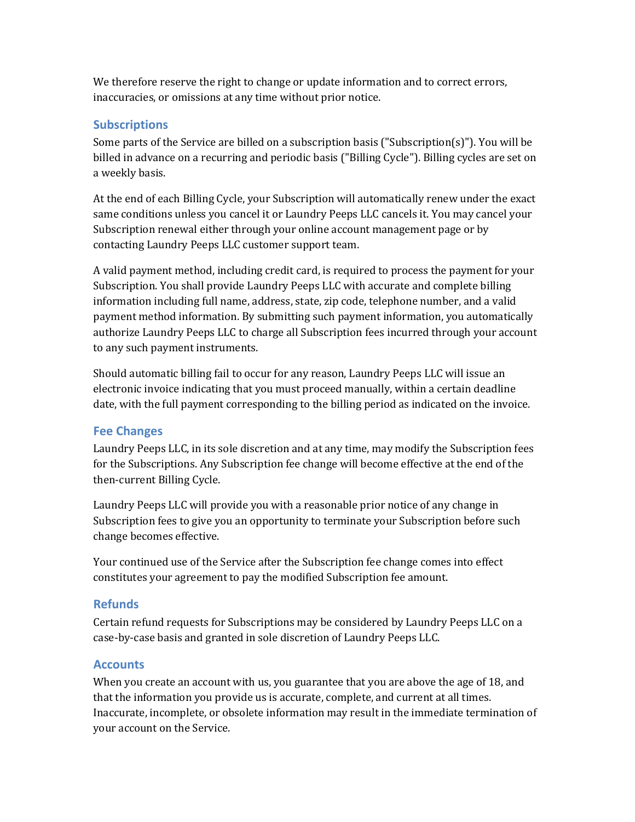We therefore reserve the right to change or update information and to correct errors, inaccuracies, or omissions at any time without prior notice.

## **Subscriptions**

Some parts of the Service are billed on a subscription basis ("Subscription(s)"). You will be billed in advance on a recurring and periodic basis ("Billing Cycle"). Billing cycles are set on a weekly basis.

At the end of each Billing Cycle, your Subscription will automatically renew under the exact same conditions unless you cancel it or Laundry Peeps LLC cancels it. You may cancel your Subscription renewal either through your online account management page or by contacting Laundry Peeps LLC customer support team.

A valid payment method, including credit card, is required to process the payment for your Subscription. You shall provide Laundry Peeps LLC with accurate and complete billing information including full name, address, state, zip code, telephone number, and a valid payment method information. By submitting such payment information, you automatically authorize Laundry Peeps LLC to charge all Subscription fees incurred through your account to any such payment instruments.

Should automatic billing fail to occur for any reason, Laundry Peeps LLC will issue an electronic invoice indicating that you must proceed manually, within a certain deadline date, with the full payment corresponding to the billing period as indicated on the invoice.

## **Fee Changes**

Laundry Peeps LLC, in its sole discretion and at any time, may modify the Subscription fees for the Subscriptions. Any Subscription fee change will become effective at the end of the then-current Billing Cycle.

Laundry Peeps LLC will provide you with a reasonable prior notice of any change in Subscription fees to give you an opportunity to terminate your Subscription before such change becomes effective.

Your continued use of the Service after the Subscription fee change comes into effect constitutes your agreement to pay the modified Subscription fee amount.

#### **Refunds**

Certain refund requests for Subscriptions may be considered by Laundry Peeps LLC on a case-by-case basis and granted in sole discretion of Laundry Peeps LLC.

## **Accounts**

When you create an account with us, you guarantee that you are above the age of 18, and that the information you provide us is accurate, complete, and current at all times. Inaccurate, incomplete, or obsolete information may result in the immediate termination of your account on the Service.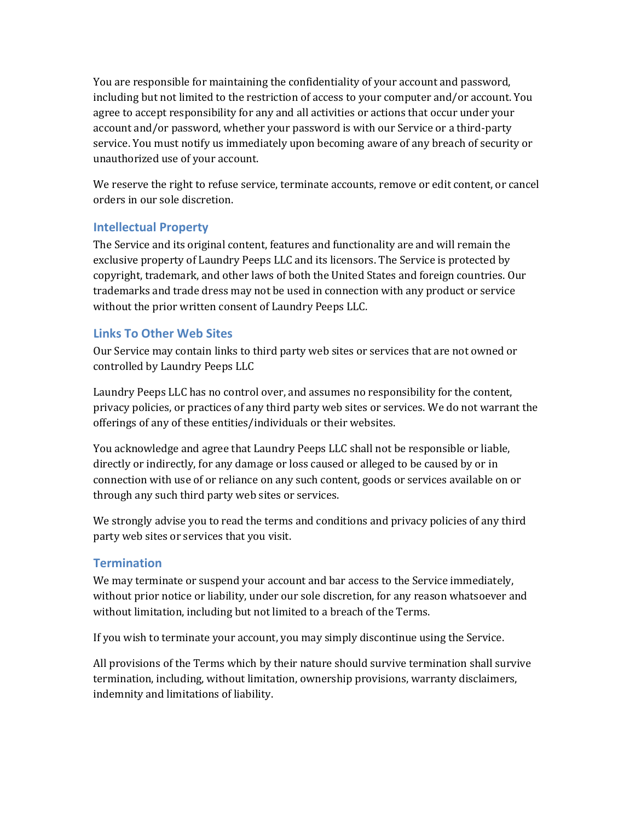You are responsible for maintaining the confidentiality of your account and password, including but not limited to the restriction of access to your computer and/or account. You agree to accept responsibility for any and all activities or actions that occur under your account and/or password, whether your password is with our Service or a third-party service. You must notify us immediately upon becoming aware of any breach of security or unauthorized use of your account.

We reserve the right to refuse service, terminate accounts, remove or edit content, or cancel orders in our sole discretion.

## **Intellectual Property**

The Service and its original content, features and functionality are and will remain the exclusive property of Laundry Peeps LLC and its licensors. The Service is protected by copyright, trademark, and other laws of both the United States and foreign countries. Our trademarks and trade dress may not be used in connection with any product or service without the prior written consent of Laundry Peeps LLC.

## **Links To Other Web Sites**

Our Service may contain links to third party web sites or services that are not owned or controlled by Laundry Peeps LLC

Laundry Peeps LLC has no control over, and assumes no responsibility for the content, privacy policies, or practices of any third party web sites or services. We do not warrant the offerings of any of these entities/individuals or their websites.

You acknowledge and agree that Laundry Peeps LLC shall not be responsible or liable, directly or indirectly, for any damage or loss caused or alleged to be caused by or in connection with use of or reliance on any such content, goods or services available on or through any such third party web sites or services.

We strongly advise you to read the terms and conditions and privacy policies of any third party web sites or services that you visit.

## **Termination**

We may terminate or suspend your account and bar access to the Service immediately, without prior notice or liability, under our sole discretion, for any reason whatsoever and without limitation, including but not limited to a breach of the Terms.

If you wish to terminate your account, you may simply discontinue using the Service.

All provisions of the Terms which by their nature should survive termination shall survive termination, including, without limitation, ownership provisions, warranty disclaimers, indemnity and limitations of liability.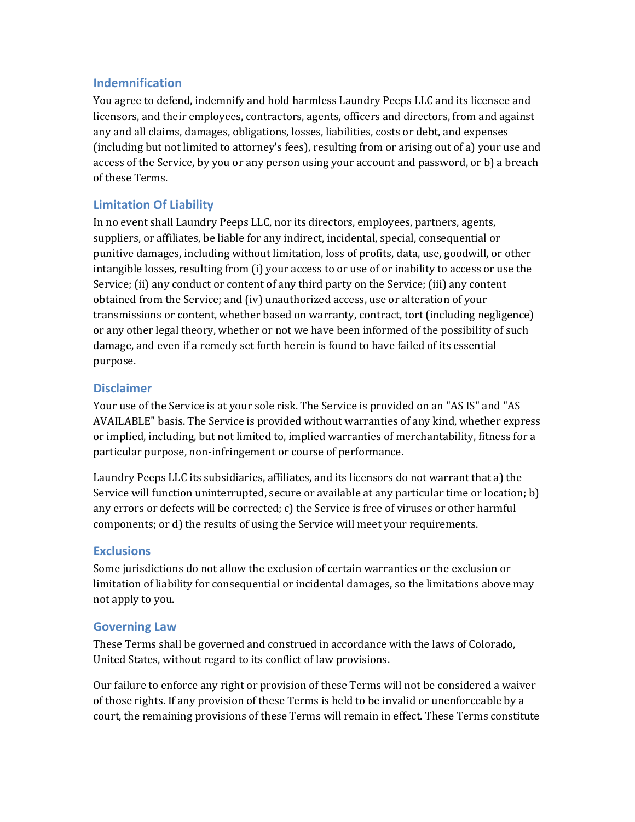#### **Indemnification**

You agree to defend, indemnify and hold harmless Laundry Peeps LLC and its licensee and licensors, and their employees, contractors, agents, officers and directors, from and against any and all claims, damages, obligations, losses, liabilities, costs or debt, and expenses (including but not limited to attorney's fees), resulting from or arising out of a) your use and access of the Service, by you or any person using your account and password, or b) a breach of these Terms.

# **Limitation Of Liability**

In no event shall Laundry Peeps LLC, nor its directors, employees, partners, agents, suppliers, or affiliates, be liable for any indirect, incidental, special, consequential or punitive damages, including without limitation, loss of profits, data, use, goodwill, or other intangible losses, resulting from (i) your access to or use of or inability to access or use the Service; (ii) any conduct or content of any third party on the Service; (iii) any content obtained from the Service; and (iv) unauthorized access, use or alteration of your transmissions or content, whether based on warranty, contract, tort (including negligence) or any other legal theory, whether or not we have been informed of the possibility of such damage, and even if a remedy set forth herein is found to have failed of its essential purpose.

#### **Disclaimer**

Your use of the Service is at your sole risk. The Service is provided on an "AS IS" and "AS AVAILABLE" basis. The Service is provided without warranties of any kind, whether express or implied, including, but not limited to, implied warranties of merchantability, fitness for a particular purpose, non-infringement or course of performance.

Laundry Peeps LLC its subsidiaries, affiliates, and its licensors do not warrant that a) the Service will function uninterrupted, secure or available at any particular time or location; b) any errors or defects will be corrected; c) the Service is free of viruses or other harmful components; or d) the results of using the Service will meet your requirements.

## **Exclusions**

Some jurisdictions do not allow the exclusion of certain warranties or the exclusion or limitation of liability for consequential or incidental damages, so the limitations above may not apply to you.

## **Governing Law**

These Terms shall be governed and construed in accordance with the laws of Colorado, United States, without regard to its conflict of law provisions.

Our failure to enforce any right or provision of these Terms will not be considered a waiver of those rights. If any provision of these Terms is held to be invalid or unenforceable by a court, the remaining provisions of these Terms will remain in effect. These Terms constitute